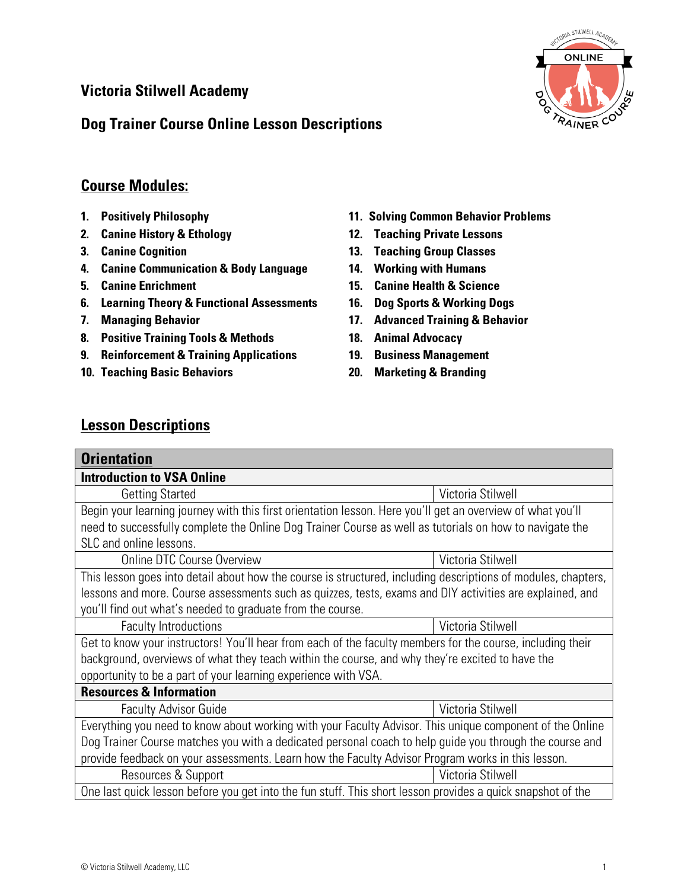## **Victoria Stilwell Academy**

## **Dog Trainer Course Online Lesson Descriptions**



## **Course Modules:**

- **1. Positively Philosophy**
- **2. Canine History & Ethology**
- **3. Canine Cognition**
- **4. Canine Communication & Body Language**
- **5. Canine Enrichment**
- **6. Learning Theory & Functional Assessments**
- **7. Managing Behavior**
- **8. Positive Training Tools & Methods**
- **9. Reinforcement & Training Applications**
- **10. Teaching Basic Behaviors**
- **11. Solving Common Behavior Problems**
- **12. Teaching Private Lessons**
- **13. Teaching Group Classes**
- **14. Working with Humans**
- **15. Canine Health & Science**
- **16. Dog Sports & Working Dogs**
- **17. Advanced Training & Behavior**
- **18. Animal Advocacy**
- **19. Business Management**
- **20. Marketing & Branding**

## **Lesson Descriptions**

| <b>Orientation</b>                                                                                            |                   |  |
|---------------------------------------------------------------------------------------------------------------|-------------------|--|
| <b>Introduction to VSA Online</b>                                                                             |                   |  |
| <b>Getting Started</b>                                                                                        | Victoria Stilwell |  |
| Begin your learning journey with this first orientation lesson. Here you'll get an overview of what you'll    |                   |  |
| need to successfully complete the Online Dog Trainer Course as well as tutorials on how to navigate the       |                   |  |
| SLC and online lessons.                                                                                       |                   |  |
| Online DTC Course Overview                                                                                    | Victoria Stilwell |  |
| This lesson goes into detail about how the course is structured, including descriptions of modules, chapters, |                   |  |
| lessons and more. Course assessments such as quizzes, tests, exams and DIY activities are explained, and      |                   |  |
| you'll find out what's needed to graduate from the course.                                                    |                   |  |
| <b>Faculty Introductions</b>                                                                                  | Victoria Stilwell |  |
| Get to know your instructors! You'll hear from each of the faculty members for the course, including their    |                   |  |
| background, overviews of what they teach within the course, and why they're excited to have the               |                   |  |
| opportunity to be a part of your learning experience with VSA.                                                |                   |  |
| <b>Resources &amp; Information</b>                                                                            |                   |  |
| <b>Faculty Advisor Guide</b>                                                                                  | Victoria Stilwell |  |
| Everything you need to know about working with your Faculty Advisor. This unique component of the Online      |                   |  |
| Dog Trainer Course matches you with a dedicated personal coach to help guide you through the course and       |                   |  |
| provide feedback on your assessments. Learn how the Faculty Advisor Program works in this lesson.             |                   |  |
| Resources & Support                                                                                           | Victoria Stilwell |  |
| One last quick lesson before you get into the fun stuff. This short lesson provides a quick snapshot of the   |                   |  |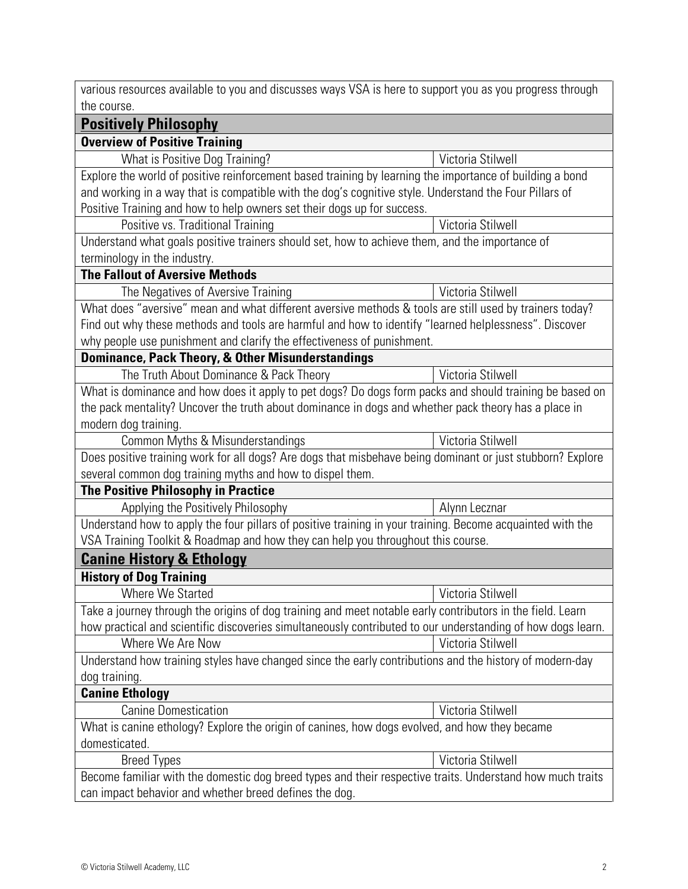| various resources available to you and discusses ways VSA is here to support you as you progress through<br>the course.                       |                   |  |
|-----------------------------------------------------------------------------------------------------------------------------------------------|-------------------|--|
| <b>Positively Philosophy</b>                                                                                                                  |                   |  |
| <b>Overview of Positive Training</b>                                                                                                          |                   |  |
|                                                                                                                                               | Victoria Stilwell |  |
| What is Positive Dog Training?                                                                                                                |                   |  |
| Explore the world of positive reinforcement based training by learning the importance of building a bond                                      |                   |  |
| and working in a way that is compatible with the dog's cognitive style. Understand the Four Pillars of                                        |                   |  |
| Positive Training and how to help owners set their dogs up for success.<br>Positive vs. Traditional Training                                  | Victoria Stilwell |  |
|                                                                                                                                               |                   |  |
| Understand what goals positive trainers should set, how to achieve them, and the importance of<br>terminology in the industry.                |                   |  |
| <b>The Fallout of Aversive Methods</b>                                                                                                        |                   |  |
|                                                                                                                                               | Victoria Stilwell |  |
| The Negatives of Aversive Training<br>What does "aversive" mean and what different aversive methods & tools are still used by trainers today? |                   |  |
| Find out why these methods and tools are harmful and how to identify "learned helplessness". Discover                                         |                   |  |
|                                                                                                                                               |                   |  |
| why people use punishment and clarify the effectiveness of punishment.                                                                        |                   |  |
| <b>Dominance, Pack Theory, &amp; Other Misunderstandings</b><br>The Truth About Dominance & Pack Theory                                       | Victoria Stilwell |  |
|                                                                                                                                               |                   |  |
| What is dominance and how does it apply to pet dogs? Do dogs form packs and should training be based on                                       |                   |  |
| the pack mentality? Uncover the truth about dominance in dogs and whether pack theory has a place in<br>modern dog training.                  |                   |  |
| Common Myths & Misunderstandings                                                                                                              | Victoria Stilwell |  |
|                                                                                                                                               |                   |  |
| Does positive training work for all dogs? Are dogs that misbehave being dominant or just stubborn? Explore                                    |                   |  |
| several common dog training myths and how to dispel them.<br><b>The Positive Philosophy in Practice</b>                                       |                   |  |
| Applying the Positively Philosophy                                                                                                            | Alynn Lecznar     |  |
| Understand how to apply the four pillars of positive training in your training. Become acquainted with the                                    |                   |  |
| VSA Training Toolkit & Roadmap and how they can help you throughout this course.                                                              |                   |  |
| <b>Canine History &amp; Ethology</b>                                                                                                          |                   |  |
| <b>History of Dog Training</b>                                                                                                                |                   |  |
| Where We Started                                                                                                                              | Victoria Stilwell |  |
| Take a journey through the origins of dog training and meet notable early contributors in the field. Learn                                    |                   |  |
| how practical and scientific discoveries simultaneously contributed to our understanding of how dogs learn.                                   |                   |  |
| Where We Are Now                                                                                                                              | Victoria Stilwell |  |
| Understand how training styles have changed since the early contributions and the history of modern-day                                       |                   |  |
| dog training.                                                                                                                                 |                   |  |
| <b>Canine Ethology</b>                                                                                                                        |                   |  |
| <b>Canine Domestication</b>                                                                                                                   | Victoria Stilwell |  |
| What is canine ethology? Explore the origin of canines, how dogs evolved, and how they became                                                 |                   |  |
| domesticated.                                                                                                                                 |                   |  |
| <b>Breed Types</b>                                                                                                                            | Victoria Stilwell |  |
| Become familiar with the domestic dog breed types and their respective traits. Understand how much traits                                     |                   |  |
| can impact behavior and whether breed defines the dog.                                                                                        |                   |  |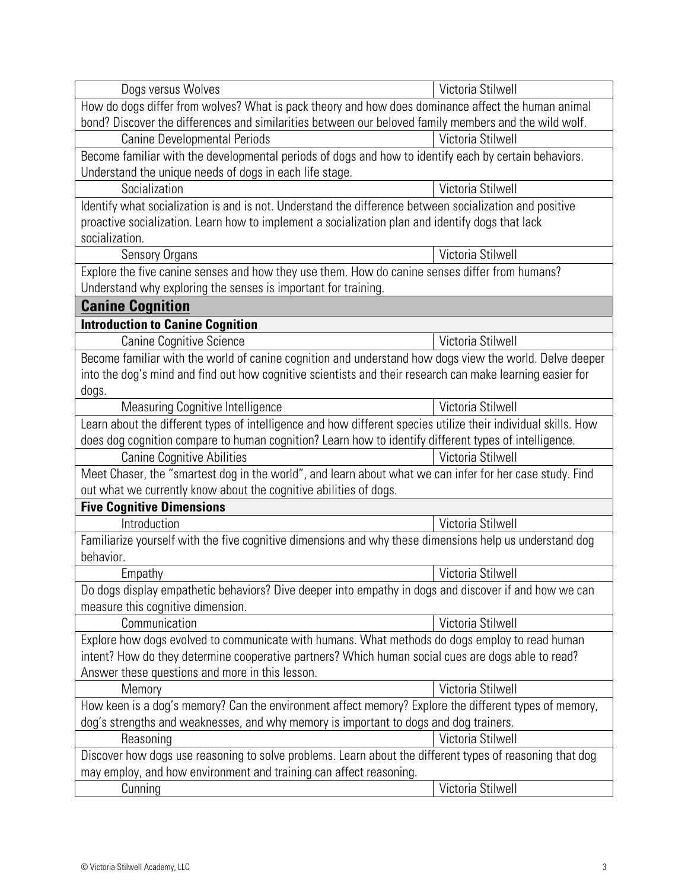| Dogs versus Wolves                                                                                             | Victoria Stilwell |  |
|----------------------------------------------------------------------------------------------------------------|-------------------|--|
| How do dogs differ from wolves? What is pack theory and how does dominance affect the human animal             |                   |  |
| bond? Discover the differences and similarities between our beloved family members and the wild wolf.          |                   |  |
| <b>Canine Developmental Periods</b>                                                                            | Victoria Stilwell |  |
| Become familiar with the developmental periods of dogs and how to identify each by certain behaviors.          |                   |  |
| Understand the unique needs of dogs in each life stage.                                                        |                   |  |
| Socialization                                                                                                  | Victoria Stilwell |  |
| Identify what socialization is and is not. Understand the difference between socialization and positive        |                   |  |
| proactive socialization. Learn how to implement a socialization plan and identify dogs that lack               |                   |  |
| socialization.                                                                                                 |                   |  |
| <b>Sensory Organs</b>                                                                                          | Victoria Stilwell |  |
| Explore the five canine senses and how they use them. How do canine senses differ from humans?                 |                   |  |
| Understand why exploring the senses is important for training.                                                 |                   |  |
| <b>Canine Cognition</b>                                                                                        |                   |  |
| <b>Introduction to Canine Cognition</b>                                                                        |                   |  |
| <b>Canine Cognitive Science</b>                                                                                | Victoria Stilwell |  |
| Become familiar with the world of canine cognition and understand how dogs view the world. Delve deeper        |                   |  |
| into the dog's mind and find out how cognitive scientists and their research can make learning easier for      |                   |  |
| dogs.                                                                                                          |                   |  |
| Measuring Cognitive Intelligence                                                                               | Victoria Stilwell |  |
| Learn about the different types of intelligence and how different species utilize their individual skills. How |                   |  |
| does dog cognition compare to human cognition? Learn how to identify different types of intelligence.          |                   |  |
| <b>Canine Cognitive Abilities</b>                                                                              | Victoria Stilwell |  |
| Meet Chaser, the "smartest dog in the world", and learn about what we can infer for her case study. Find       |                   |  |
| out what we currently know about the cognitive abilities of dogs.                                              |                   |  |
| <b>Five Cognitive Dimensions</b>                                                                               |                   |  |
| Introduction                                                                                                   | Victoria Stilwell |  |
| Familiarize yourself with the five cognitive dimensions and why these dimensions help us understand dog        |                   |  |
| behavior.                                                                                                      |                   |  |
| Empathy                                                                                                        | Victoria Stilwell |  |
| Do dogs display empathetic behaviors? Dive deeper into empathy in dogs and discover if and how we can          |                   |  |
| measure this cognitive dimension.                                                                              |                   |  |
| Communication                                                                                                  | Victoria Stilwell |  |
| Explore how dogs evolved to communicate with humans. What methods do dogs employ to read human                 |                   |  |
| intent? How do they determine cooperative partners? Which human social cues are dogs able to read?             |                   |  |
| Answer these questions and more in this lesson.                                                                |                   |  |
| Memory                                                                                                         | Victoria Stilwell |  |
| How keen is a dog's memory? Can the environment affect memory? Explore the different types of memory,          |                   |  |
| dog's strengths and weaknesses, and why memory is important to dogs and dog trainers.                          |                   |  |
| Reasoning                                                                                                      | Victoria Stilwell |  |
| Discover how dogs use reasoning to solve problems. Learn about the different types of reasoning that dog       |                   |  |
| may employ, and how environment and training can affect reasoning.                                             |                   |  |
| Cunning                                                                                                        | Victoria Stilwell |  |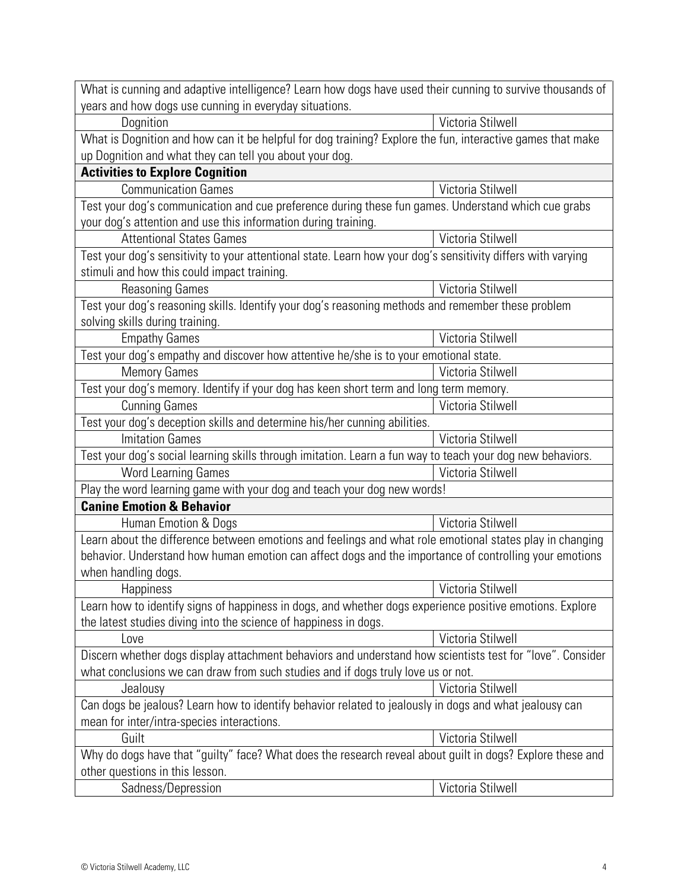| What is cunning and adaptive intelligence? Learn how dogs have used their cunning to survive thousands of    |                   |  |
|--------------------------------------------------------------------------------------------------------------|-------------------|--|
| years and how dogs use cunning in everyday situations.                                                       |                   |  |
| Dognition                                                                                                    | Victoria Stilwell |  |
| What is Dognition and how can it be helpful for dog training? Explore the fun, interactive games that make   |                   |  |
| up Dognition and what they can tell you about your dog.                                                      |                   |  |
| <b>Activities to Explore Cognition</b>                                                                       |                   |  |
| <b>Communication Games</b>                                                                                   | Victoria Stilwell |  |
| Test your dog's communication and cue preference during these fun games. Understand which cue grabs          |                   |  |
| your dog's attention and use this information during training.                                               |                   |  |
| <b>Attentional States Games</b>                                                                              | Victoria Stilwell |  |
| Test your dog's sensitivity to your attentional state. Learn how your dog's sensitivity differs with varying |                   |  |
| stimuli and how this could impact training.                                                                  |                   |  |
| <b>Reasoning Games</b>                                                                                       | Victoria Stilwell |  |
| Test your dog's reasoning skills. Identify your dog's reasoning methods and remember these problem           |                   |  |
| solving skills during training.                                                                              |                   |  |
| <b>Empathy Games</b>                                                                                         | Victoria Stilwell |  |
| Test your dog's empathy and discover how attentive he/she is to your emotional state.                        |                   |  |
| <b>Memory Games</b>                                                                                          | Victoria Stilwell |  |
| Test your dog's memory. Identify if your dog has keen short term and long term memory.                       |                   |  |
| <b>Cunning Games</b>                                                                                         | Victoria Stilwell |  |
| Test your dog's deception skills and determine his/her cunning abilities.                                    |                   |  |
| <b>Imitation Games</b>                                                                                       | Victoria Stilwell |  |
| Test your dog's social learning skills through imitation. Learn a fun way to teach your dog new behaviors.   |                   |  |
| <b>Word Learning Games</b>                                                                                   | Victoria Stilwell |  |
| Play the word learning game with your dog and teach your dog new words!                                      |                   |  |
| <b>Canine Emotion &amp; Behavior</b>                                                                         |                   |  |
| Human Emotion & Dogs                                                                                         | Victoria Stilwell |  |
| Learn about the difference between emotions and feelings and what role emotional states play in changing     |                   |  |
| behavior. Understand how human emotion can affect dogs and the importance of controlling your emotions       |                   |  |
| when handling dogs.                                                                                          |                   |  |
| <b>Happiness</b>                                                                                             | Victoria Stilwell |  |
| Learn how to identify signs of happiness in dogs, and whether dogs experience positive emotions. Explore     |                   |  |
| the latest studies diving into the science of happiness in dogs.                                             |                   |  |
| Love                                                                                                         | Victoria Stilwell |  |
| Discern whether dogs display attachment behaviors and understand how scientists test for "love". Consider    |                   |  |
| what conclusions we can draw from such studies and if dogs truly love us or not.                             |                   |  |
| Jealousy                                                                                                     | Victoria Stilwell |  |
| Can dogs be jealous? Learn how to identify behavior related to jealously in dogs and what jealousy can       |                   |  |
| mean for inter/intra-species interactions.                                                                   |                   |  |
| Guilt                                                                                                        | Victoria Stilwell |  |
| Why do dogs have that "guilty" face? What does the research reveal about guilt in dogs? Explore these and    |                   |  |
| other questions in this lesson.                                                                              |                   |  |
| Sadness/Depression                                                                                           | Victoria Stilwell |  |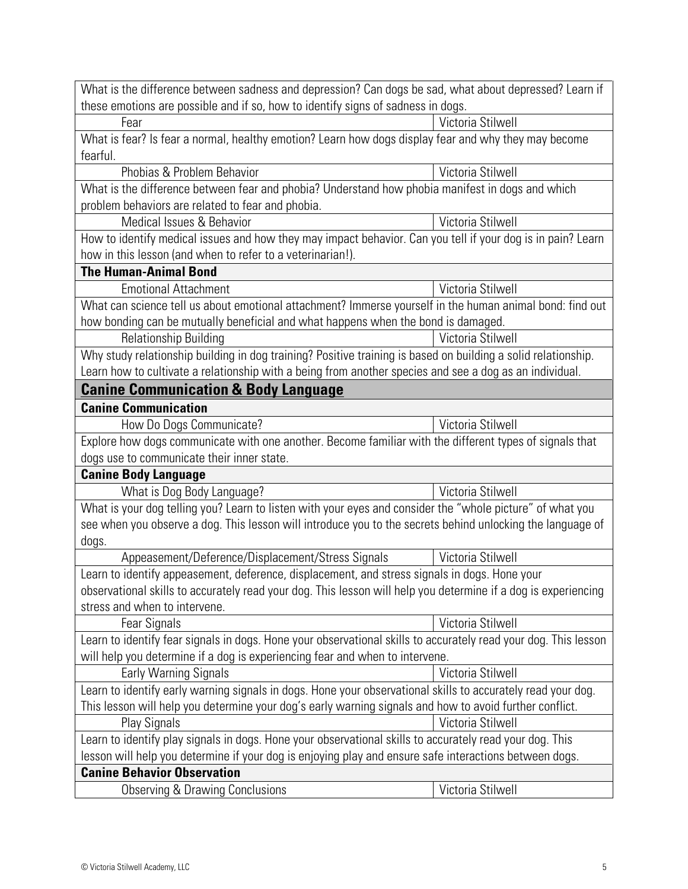| What is the difference between sadness and depression? Can dogs be sad, what about depressed? Learn if<br>these emotions are possible and if so, how to identify signs of sadness in dogs. |                   |  |
|--------------------------------------------------------------------------------------------------------------------------------------------------------------------------------------------|-------------------|--|
| Fear                                                                                                                                                                                       | Victoria Stilwell |  |
| What is fear? Is fear a normal, healthy emotion? Learn how dogs display fear and why they may become                                                                                       |                   |  |
| fearful.                                                                                                                                                                                   |                   |  |
| Phobias & Problem Behavior                                                                                                                                                                 | Victoria Stilwell |  |
| What is the difference between fear and phobia? Understand how phobia manifest in dogs and which                                                                                           |                   |  |
| problem behaviors are related to fear and phobia.                                                                                                                                          |                   |  |
| Medical Issues & Behavior                                                                                                                                                                  | Victoria Stilwell |  |
| How to identify medical issues and how they may impact behavior. Can you tell if your dog is in pain? Learn                                                                                |                   |  |
| how in this lesson (and when to refer to a veterinarian!).                                                                                                                                 |                   |  |
| <b>The Human-Animal Bond</b>                                                                                                                                                               |                   |  |
| <b>Emotional Attachment</b>                                                                                                                                                                | Victoria Stilwell |  |
| What can science tell us about emotional attachment? Immerse yourself in the human animal bond: find out                                                                                   |                   |  |
| how bonding can be mutually beneficial and what happens when the bond is damaged.                                                                                                          |                   |  |
| <b>Relationship Building</b>                                                                                                                                                               | Victoria Stilwell |  |
| Why study relationship building in dog training? Positive training is based on building a solid relationship.                                                                              |                   |  |
| Learn how to cultivate a relationship with a being from another species and see a dog as an individual.                                                                                    |                   |  |
| <b>Canine Communication &amp; Body Language</b>                                                                                                                                            |                   |  |
| <b>Canine Communication</b>                                                                                                                                                                |                   |  |
| How Do Dogs Communicate?                                                                                                                                                                   | Victoria Stilwell |  |
| Explore how dogs communicate with one another. Become familiar with the different types of signals that                                                                                    |                   |  |
| dogs use to communicate their inner state.                                                                                                                                                 |                   |  |
| <b>Canine Body Language</b>                                                                                                                                                                |                   |  |
| What is Dog Body Language?<br>Victoria Stilwell                                                                                                                                            |                   |  |
| What is your dog telling you? Learn to listen with your eyes and consider the "whole picture" of what you                                                                                  |                   |  |
| see when you observe a dog. This lesson will introduce you to the secrets behind unlocking the language of                                                                                 |                   |  |
| dogs.                                                                                                                                                                                      |                   |  |
| Appeasement/Deference/Displacement/Stress Signals                                                                                                                                          | Victoria Stilwell |  |
| Learn to identify appeasement, deference, displacement, and stress signals in dogs. Hone your                                                                                              |                   |  |
| observational skills to accurately read your dog. This lesson will help you determine if a dog is experiencing                                                                             |                   |  |
| stress and when to intervene.                                                                                                                                                              | Victoria Stilwell |  |
| Fear Signals                                                                                                                                                                               |                   |  |
| Learn to identify fear signals in dogs. Hone your observational skills to accurately read your dog. This lesson                                                                            |                   |  |
| will help you determine if a dog is experiencing fear and when to intervene.<br><b>Early Warning Signals</b>                                                                               | Victoria Stilwell |  |
| Learn to identify early warning signals in dogs. Hone your observational skills to accurately read your dog.                                                                               |                   |  |
| This lesson will help you determine your dog's early warning signals and how to avoid further conflict.                                                                                    |                   |  |
| Play Signals                                                                                                                                                                               | Victoria Stilwell |  |
| Learn to identify play signals in dogs. Hone your observational skills to accurately read your dog. This                                                                                   |                   |  |
| lesson will help you determine if your dog is enjoying play and ensure safe interactions between dogs.                                                                                     |                   |  |
| <b>Canine Behavior Observation</b>                                                                                                                                                         |                   |  |
| <b>Observing &amp; Drawing Conclusions</b>                                                                                                                                                 | Victoria Stilwell |  |
|                                                                                                                                                                                            |                   |  |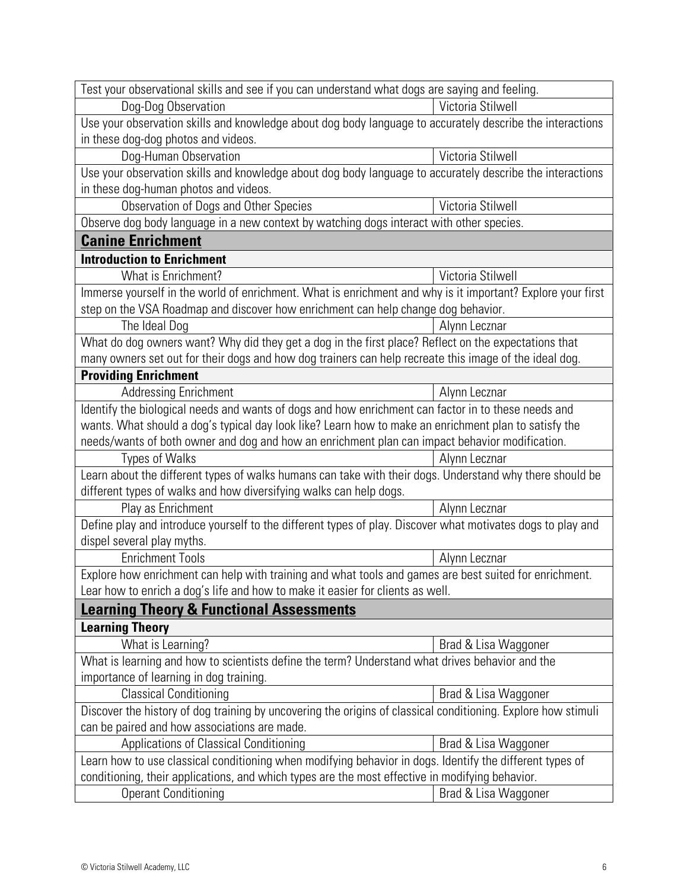| Test your observational skills and see if you can understand what dogs are saying and feeling.                                                                                                              |                      |
|-------------------------------------------------------------------------------------------------------------------------------------------------------------------------------------------------------------|----------------------|
| Dog-Dog Observation                                                                                                                                                                                         | Victoria Stilwell    |
| Use your observation skills and knowledge about dog body language to accurately describe the interactions                                                                                                   |                      |
| in these dog-dog photos and videos.                                                                                                                                                                         |                      |
| Dog-Human Observation                                                                                                                                                                                       | Victoria Stilwell    |
| Use your observation skills and knowledge about dog body language to accurately describe the interactions                                                                                                   |                      |
| in these dog-human photos and videos.                                                                                                                                                                       |                      |
| Observation of Dogs and Other Species                                                                                                                                                                       | Victoria Stilwell    |
| Observe dog body language in a new context by watching dogs interact with other species.                                                                                                                    |                      |
| <b>Canine Enrichment</b>                                                                                                                                                                                    |                      |
| <b>Introduction to Enrichment</b>                                                                                                                                                                           |                      |
| What is Enrichment?                                                                                                                                                                                         | Victoria Stilwell    |
| Immerse yourself in the world of enrichment. What is enrichment and why is it important? Explore your first                                                                                                 |                      |
| step on the VSA Roadmap and discover how enrichment can help change dog behavior.                                                                                                                           |                      |
| The Ideal Dog                                                                                                                                                                                               | Alynn Lecznar        |
| What do dog owners want? Why did they get a dog in the first place? Reflect on the expectations that                                                                                                        |                      |
| many owners set out for their dogs and how dog trainers can help recreate this image of the ideal dog.                                                                                                      |                      |
| <b>Providing Enrichment</b>                                                                                                                                                                                 |                      |
| <b>Addressing Enrichment</b>                                                                                                                                                                                | Alynn Lecznar        |
| Identify the biological needs and wants of dogs and how enrichment can factor in to these needs and                                                                                                         |                      |
| wants. What should a dog's typical day look like? Learn how to make an enrichment plan to satisfy the                                                                                                       |                      |
| needs/wants of both owner and dog and how an enrichment plan can impact behavior modification.                                                                                                              |                      |
| <b>Types of Walks</b>                                                                                                                                                                                       | Alynn Lecznar        |
| Learn about the different types of walks humans can take with their dogs. Understand why there should be                                                                                                    |                      |
| different types of walks and how diversifying walks can help dogs.                                                                                                                                          |                      |
| Play as Enrichment                                                                                                                                                                                          | Alynn Lecznar        |
| Define play and introduce yourself to the different types of play. Discover what motivates dogs to play and                                                                                                 |                      |
| dispel several play myths.                                                                                                                                                                                  |                      |
| <b>Enrichment Tools</b>                                                                                                                                                                                     | Alynn Lecznar        |
| Explore how enrichment can help with training and what tools and games are best suited for enrichment.                                                                                                      |                      |
| Lear how to enrich a dog's life and how to make it easier for clients as well.                                                                                                                              |                      |
| <b>Learning Theory &amp; Functional Assessments</b>                                                                                                                                                         |                      |
| <b>Learning Theory</b>                                                                                                                                                                                      |                      |
| What is Learning?                                                                                                                                                                                           | Brad & Lisa Waggoner |
| What is learning and how to scientists define the term? Understand what drives behavior and the                                                                                                             |                      |
| importance of learning in dog training.                                                                                                                                                                     |                      |
| <b>Classical Conditioning</b>                                                                                                                                                                               | Brad & Lisa Waggoner |
| Discover the history of dog training by uncovering the origins of classical conditioning. Explore how stimuli                                                                                               |                      |
| can be paired and how associations are made.                                                                                                                                                                |                      |
| Applications of Classical Conditioning                                                                                                                                                                      | Brad & Lisa Waggoner |
| Learn how to use classical conditioning when modifying behavior in dogs. Identify the different types of<br>conditioning, their applications, and which types are the most effective in modifying behavior. |                      |
| <b>Operant Conditioning</b>                                                                                                                                                                                 | Brad & Lisa Waggoner |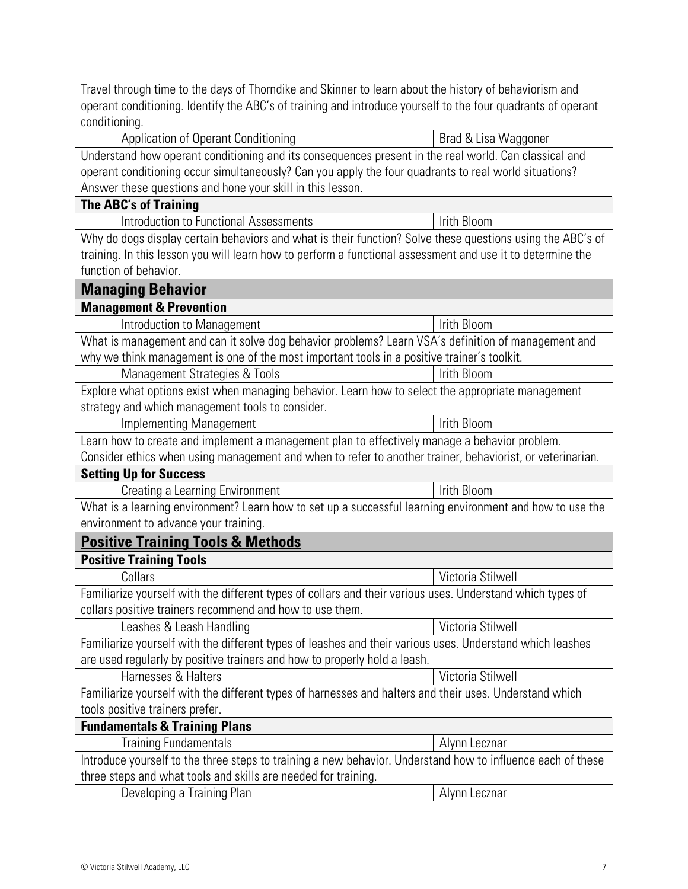| Travel through time to the days of Thorndike and Skinner to learn about the history of behaviorism and       |                      |  |
|--------------------------------------------------------------------------------------------------------------|----------------------|--|
| operant conditioning. Identify the ABC's of training and introduce yourself to the four quadrants of operant |                      |  |
| conditioning.                                                                                                |                      |  |
| Application of Operant Conditioning                                                                          | Brad & Lisa Waggoner |  |
| Understand how operant conditioning and its consequences present in the real world. Can classical and        |                      |  |
| operant conditioning occur simultaneously? Can you apply the four quadrants to real world situations?        |                      |  |
| Answer these questions and hone your skill in this lesson.                                                   |                      |  |
| <b>The ABC's of Training</b>                                                                                 |                      |  |
| <b>Introduction to Functional Assessments</b>                                                                | Irith Bloom          |  |
| Why do dogs display certain behaviors and what is their function? Solve these questions using the ABC's of   |                      |  |
| training. In this lesson you will learn how to perform a functional assessment and use it to determine the   |                      |  |
| function of behavior.                                                                                        |                      |  |
| <b>Managing Behavior</b>                                                                                     |                      |  |
| <b>Management &amp; Prevention</b>                                                                           |                      |  |
| Introduction to Management                                                                                   | Irith Bloom          |  |
| What is management and can it solve dog behavior problems? Learn VSA's definition of management and          |                      |  |
| why we think management is one of the most important tools in a positive trainer's toolkit.                  |                      |  |
| Management Strategies & Tools                                                                                | Irith Bloom          |  |
| Explore what options exist when managing behavior. Learn how to select the appropriate management            |                      |  |
| strategy and which management tools to consider.                                                             |                      |  |
| <b>Implementing Management</b>                                                                               | Irith Bloom          |  |
| Learn how to create and implement a management plan to effectively manage a behavior problem.                |                      |  |
| Consider ethics when using management and when to refer to another trainer, behaviorist, or veterinarian.    |                      |  |
| <b>Setting Up for Success</b>                                                                                |                      |  |
| Creating a Learning Environment                                                                              | <b>Irith Bloom</b>   |  |
| What is a learning environment? Learn how to set up a successful learning environment and how to use the     |                      |  |
| environment to advance your training.                                                                        |                      |  |
| <b>Positive Training Tools &amp; Methods</b>                                                                 |                      |  |
| <b>Positive Training Tools</b>                                                                               |                      |  |
| Collars                                                                                                      | Victoria Stilwell    |  |
| Familiarize yourself with the different types of collars and their various uses. Understand which types of   |                      |  |
| collars positive trainers recommend and how to use them.                                                     |                      |  |
| Leashes & Leash Handling                                                                                     | Victoria Stilwell    |  |
| Familiarize yourself with the different types of leashes and their various uses. Understand which leashes    |                      |  |
| are used regularly by positive trainers and how to properly hold a leash.                                    |                      |  |
| Harnesses & Halters                                                                                          | Victoria Stilwell    |  |
| Familiarize yourself with the different types of harnesses and halters and their uses. Understand which      |                      |  |
| tools positive trainers prefer.                                                                              |                      |  |
| <b>Fundamentals &amp; Training Plans</b>                                                                     |                      |  |
| <b>Training Fundamentals</b><br>Alynn Lecznar                                                                |                      |  |
| Introduce yourself to the three steps to training a new behavior. Understand how to influence each of these  |                      |  |
| three steps and what tools and skills are needed for training.                                               |                      |  |
| Developing a Training Plan                                                                                   | Alynn Lecznar        |  |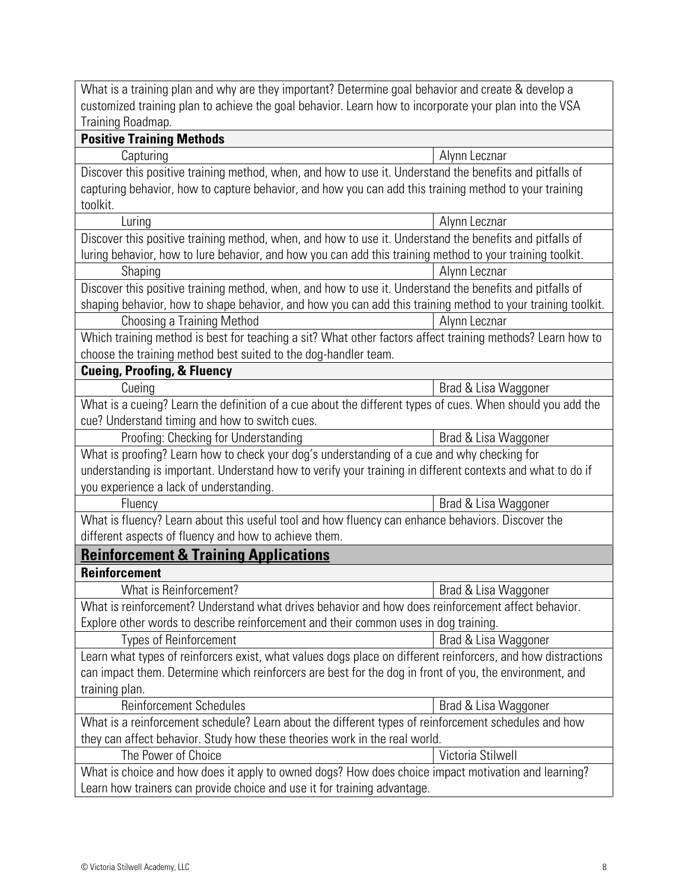What is a training plan and why are they important? Determine goal behavior and create & develop a customized training plan to achieve the goal behavior. Learn how to incorporate your plan into the VSA Training Roadmap.

| <b>Positive Training Methods</b>                                                                             |                      |  |
|--------------------------------------------------------------------------------------------------------------|----------------------|--|
| Capturing                                                                                                    | Alynn Lecznar        |  |
| Discover this positive training method, when, and how to use it. Understand the benefits and pitfalls of     |                      |  |
| capturing behavior, how to capture behavior, and how you can add this training method to your training       |                      |  |
| toolkit.                                                                                                     |                      |  |
| Luring                                                                                                       | Alynn Lecznar        |  |
| Discover this positive training method, when, and how to use it. Understand the benefits and pitfalls of     |                      |  |
| luring behavior, how to lure behavior, and how you can add this training method to your training toolkit.    |                      |  |
| Shaping                                                                                                      | Alynn Lecznar        |  |
| Discover this positive training method, when, and how to use it. Understand the benefits and pitfalls of     |                      |  |
| shaping behavior, how to shape behavior, and how you can add this training method to your training toolkit.  |                      |  |
| Choosing a Training Method                                                                                   | Alynn Lecznar        |  |
| Which training method is best for teaching a sit? What other factors affect training methods? Learn how to   |                      |  |
| choose the training method best suited to the dog-handler team.                                              |                      |  |
| <b>Cueing, Proofing, &amp; Fluency</b>                                                                       |                      |  |
| Cueing                                                                                                       | Brad & Lisa Waggoner |  |
| What is a cueing? Learn the definition of a cue about the different types of cues. When should you add the   |                      |  |
| cue? Understand timing and how to switch cues.                                                               |                      |  |
| Proofing: Checking for Understanding                                                                         | Brad & Lisa Waggoner |  |
| What is proofing? Learn how to check your dog's understanding of a cue and why checking for                  |                      |  |
| understanding is important. Understand how to verify your training in different contexts and what to do if   |                      |  |
| you experience a lack of understanding.                                                                      |                      |  |
| Fluency                                                                                                      | Brad & Lisa Waggoner |  |
| What is fluency? Learn about this useful tool and how fluency can enhance behaviors. Discover the            |                      |  |
| different aspects of fluency and how to achieve them.                                                        |                      |  |
| <b>Reinforcement &amp; Training Applications</b>                                                             |                      |  |
| <b>Reinforcement</b>                                                                                         |                      |  |
| What is Reinforcement?                                                                                       | Brad & Lisa Waggoner |  |
| What is reinforcement? Understand what drives behavior and how does reinforcement affect behavior.           |                      |  |
| Explore other words to describe reinforcement and their common uses in dog training.                         |                      |  |
| Types of Reinforcement                                                                                       | Brad & Lisa Waggoner |  |
| Learn what types of reinforcers exist, what values dogs place on different reinforcers, and how distractions |                      |  |
| can impact them. Determine which reinforcers are best for the dog in front of you, the environment, and      |                      |  |
| training plan.                                                                                               |                      |  |
| <b>Reinforcement Schedules</b>                                                                               | Brad & Lisa Waggoner |  |
| What is a reinforcement schedule? Learn about the different types of reinforcement schedules and how         |                      |  |
| they can affect behavior. Study how these theories work in the real world.                                   |                      |  |
| The Power of Choice                                                                                          | Victoria Stilwell    |  |
| What is choice and how does it apply to owned dogs? How does choice impact motivation and learning?          |                      |  |
| Learn how trainers can provide choice and use it for training advantage.                                     |                      |  |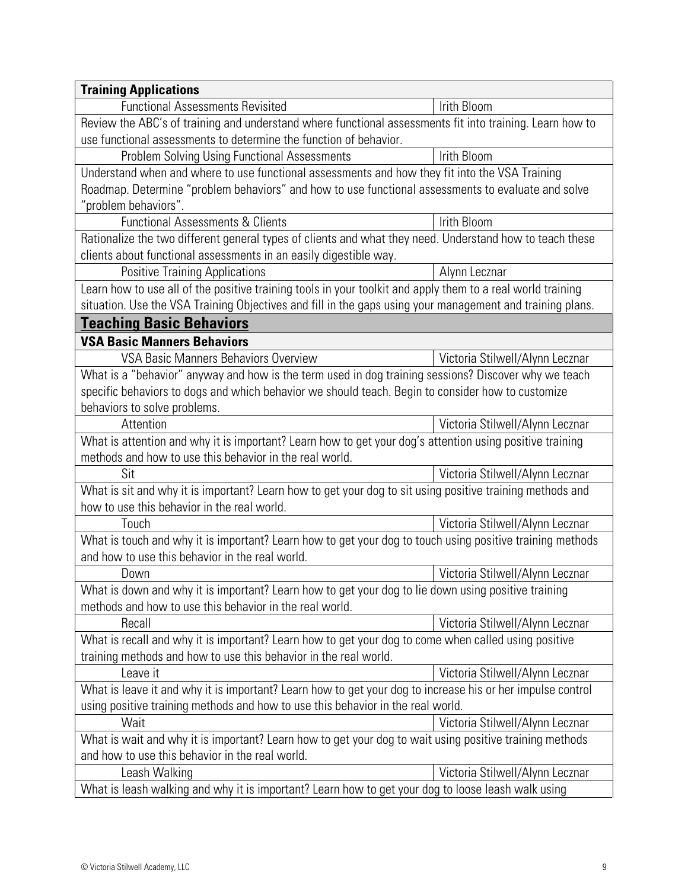| <b>Training Applications</b>                                                                                                                                             |                                 |  |
|--------------------------------------------------------------------------------------------------------------------------------------------------------------------------|---------------------------------|--|
| <b>Functional Assessments Revisited</b>                                                                                                                                  | Irith Bloom                     |  |
| Review the ABC's of training and understand where functional assessments fit into training. Learn how to                                                                 |                                 |  |
| use functional assessments to determine the function of behavior.                                                                                                        |                                 |  |
| <b>Problem Solving Using Functional Assessments</b>                                                                                                                      | Irith Bloom                     |  |
| Understand when and where to use functional assessments and how they fit into the VSA Training                                                                           |                                 |  |
| Roadmap. Determine "problem behaviors" and how to use functional assessments to evaluate and solve                                                                       |                                 |  |
| "problem behaviors".                                                                                                                                                     |                                 |  |
| <b>Functional Assessments &amp; Clients</b>                                                                                                                              | Irith Bloom                     |  |
| Rationalize the two different general types of clients and what they need. Understand how to teach these                                                                 |                                 |  |
| clients about functional assessments in an easily digestible way.                                                                                                        |                                 |  |
| <b>Positive Training Applications</b>                                                                                                                                    | Alynn Lecznar                   |  |
| Learn how to use all of the positive training tools in your toolkit and apply them to a real world training                                                              |                                 |  |
| situation. Use the VSA Training Objectives and fill in the gaps using your management and training plans.                                                                |                                 |  |
| <b>Teaching Basic Behaviors</b>                                                                                                                                          |                                 |  |
| <b>VSA Basic Manners Behaviors</b>                                                                                                                                       |                                 |  |
| <b>VSA Basic Manners Behaviors Overview</b>                                                                                                                              | Victoria Stilwell/Alynn Lecznar |  |
| What is a "behavior" anyway and how is the term used in dog training sessions? Discover why we teach                                                                     |                                 |  |
| specific behaviors to dogs and which behavior we should teach. Begin to consider how to customize                                                                        |                                 |  |
| behaviors to solve problems.                                                                                                                                             |                                 |  |
| Attention                                                                                                                                                                | Victoria Stilwell/Alynn Lecznar |  |
| What is attention and why it is important? Learn how to get your dog's attention using positive training                                                                 |                                 |  |
| methods and how to use this behavior in the real world.                                                                                                                  |                                 |  |
| Sit                                                                                                                                                                      | Victoria Stilwell/Alynn Lecznar |  |
| What is sit and why it is important? Learn how to get your dog to sit using positive training methods and                                                                |                                 |  |
| how to use this behavior in the real world.                                                                                                                              |                                 |  |
| Touch                                                                                                                                                                    | Victoria Stilwell/Alynn Lecznar |  |
| What is touch and why it is important? Learn how to get your dog to touch using positive training methods                                                                |                                 |  |
| and how to use this behavior in the real world.                                                                                                                          |                                 |  |
| Down                                                                                                                                                                     | Victoria Stilwell/Alynn Lecznar |  |
| What is down and why it is important? Learn how to get your dog to lie down using positive training<br>methods and how to use this behavior in the real world.           |                                 |  |
| Recall                                                                                                                                                                   | Victoria Stilwell/Alynn Lecznar |  |
|                                                                                                                                                                          |                                 |  |
| What is recall and why it is important? Learn how to get your dog to come when called using positive<br>training methods and how to use this behavior in the real world. |                                 |  |
| Leave it                                                                                                                                                                 | Victoria Stilwell/Alynn Lecznar |  |
| What is leave it and why it is important? Learn how to get your dog to increase his or her impulse control                                                               |                                 |  |
| using positive training methods and how to use this behavior in the real world.                                                                                          |                                 |  |
| Wait                                                                                                                                                                     | Victoria Stilwell/Alynn Lecznar |  |
| What is wait and why it is important? Learn how to get your dog to wait using positive training methods                                                                  |                                 |  |
| and how to use this behavior in the real world.                                                                                                                          |                                 |  |
| Leash Walking                                                                                                                                                            | Victoria Stilwell/Alynn Lecznar |  |
| What is leash walking and why it is important? Learn how to get your dog to loose leash walk using                                                                       |                                 |  |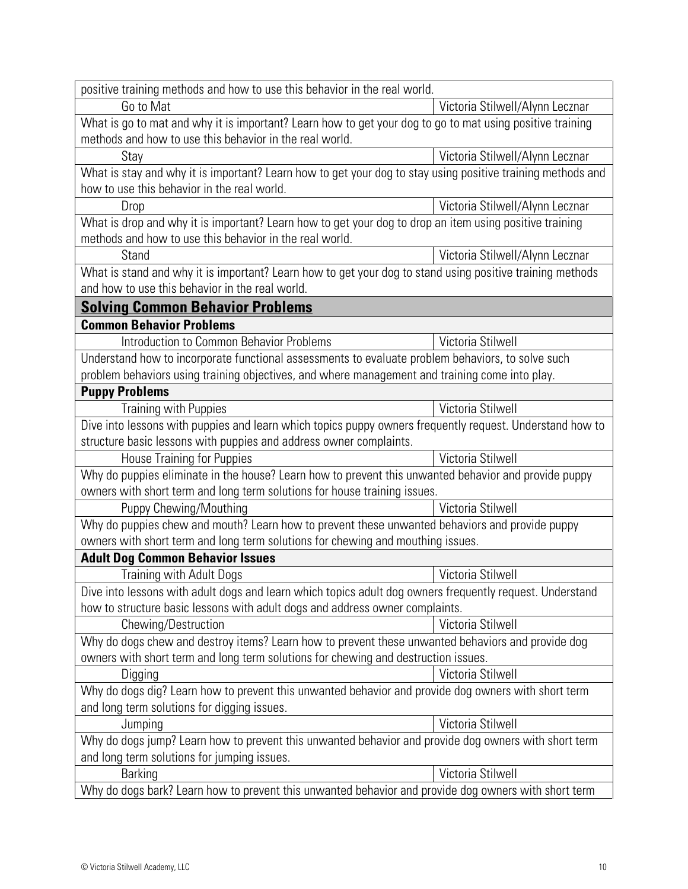| positive training methods and how to use this behavior in the real world.                                   |                                 |  |
|-------------------------------------------------------------------------------------------------------------|---------------------------------|--|
| Go to Mat                                                                                                   | Victoria Stilwell/Alynn Lecznar |  |
| What is go to mat and why it is important? Learn how to get your dog to go to mat using positive training   |                                 |  |
| methods and how to use this behavior in the real world.                                                     |                                 |  |
| Stay                                                                                                        | Victoria Stilwell/Alynn Lecznar |  |
| What is stay and why it is important? Learn how to get your dog to stay using positive training methods and |                                 |  |
| how to use this behavior in the real world.                                                                 |                                 |  |
| Drop                                                                                                        | Victoria Stilwell/Alynn Lecznar |  |
| What is drop and why it is important? Learn how to get your dog to drop an item using positive training     |                                 |  |
| methods and how to use this behavior in the real world.                                                     |                                 |  |
| Stand                                                                                                       | Victoria Stilwell/Alynn Lecznar |  |
| What is stand and why it is important? Learn how to get your dog to stand using positive training methods   |                                 |  |
| and how to use this behavior in the real world.                                                             |                                 |  |
| <b>Solving Common Behavior Problems</b>                                                                     |                                 |  |
| <b>Common Behavior Problems</b>                                                                             |                                 |  |
| Introduction to Common Behavior Problems                                                                    | Victoria Stilwell               |  |
| Understand how to incorporate functional assessments to evaluate problem behaviors, to solve such           |                                 |  |
| problem behaviors using training objectives, and where management and training come into play.              |                                 |  |
| <b>Puppy Problems</b>                                                                                       |                                 |  |
| <b>Training with Puppies</b>                                                                                | Victoria Stilwell               |  |
| Dive into lessons with puppies and learn which topics puppy owners frequently request. Understand how to    |                                 |  |
| structure basic lessons with puppies and address owner complaints.                                          |                                 |  |
| <b>House Training for Puppies</b>                                                                           | Victoria Stilwell               |  |
| Why do puppies eliminate in the house? Learn how to prevent this unwanted behavior and provide puppy        |                                 |  |
| owners with short term and long term solutions for house training issues.                                   |                                 |  |
| Puppy Chewing/Mouthing                                                                                      | Victoria Stilwell               |  |
| Why do puppies chew and mouth? Learn how to prevent these unwanted behaviors and provide puppy              |                                 |  |
| owners with short term and long term solutions for chewing and mouthing issues.                             |                                 |  |
| <b>Adult Dog Common Behavior Issues</b>                                                                     |                                 |  |
| <b>Training with Adult Dogs</b>                                                                             | Victoria Stilwell               |  |
| Dive into lessons with adult dogs and learn which topics adult dog owners frequently request. Understand    |                                 |  |
| how to structure basic lessons with adult dogs and address owner complaints.                                |                                 |  |
| Chewing/Destruction                                                                                         | Victoria Stilwell               |  |
| Why do dogs chew and destroy items? Learn how to prevent these unwanted behaviors and provide dog           |                                 |  |
| owners with short term and long term solutions for chewing and destruction issues.                          |                                 |  |
| Digging                                                                                                     | Victoria Stilwell               |  |
| Why do dogs dig? Learn how to prevent this unwanted behavior and provide dog owners with short term         |                                 |  |
| and long term solutions for digging issues.                                                                 |                                 |  |
| Jumping                                                                                                     | Victoria Stilwell               |  |
| Why do dogs jump? Learn how to prevent this unwanted behavior and provide dog owners with short term        |                                 |  |
| and long term solutions for jumping issues.                                                                 |                                 |  |
| <b>Barking</b>                                                                                              | Victoria Stilwell               |  |
| Why do dogs bark? Learn how to prevent this unwanted behavior and provide dog owners with short term        |                                 |  |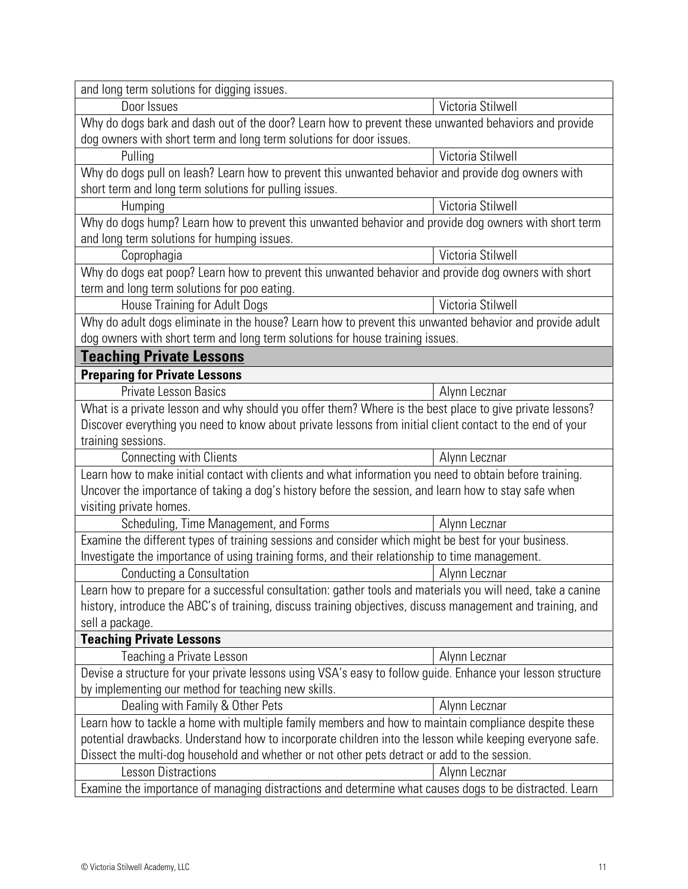| and long term solutions for digging issues.                                                                                                                                                              |                   |  |
|----------------------------------------------------------------------------------------------------------------------------------------------------------------------------------------------------------|-------------------|--|
| Door Issues                                                                                                                                                                                              | Victoria Stilwell |  |
| Why do dogs bark and dash out of the door? Learn how to prevent these unwanted behaviors and provide                                                                                                     |                   |  |
| dog owners with short term and long term solutions for door issues.                                                                                                                                      |                   |  |
| Pulling                                                                                                                                                                                                  | Victoria Stilwell |  |
| Why do dogs pull on leash? Learn how to prevent this unwanted behavior and provide dog owners with                                                                                                       |                   |  |
| short term and long term solutions for pulling issues.                                                                                                                                                   |                   |  |
| Humping                                                                                                                                                                                                  | Victoria Stilwell |  |
| Why do dogs hump? Learn how to prevent this unwanted behavior and provide dog owners with short term                                                                                                     |                   |  |
| and long term solutions for humping issues.                                                                                                                                                              |                   |  |
| Coprophagia                                                                                                                                                                                              | Victoria Stilwell |  |
| Why do dogs eat poop? Learn how to prevent this unwanted behavior and provide dog owners with short                                                                                                      |                   |  |
| term and long term solutions for poo eating.                                                                                                                                                             |                   |  |
| House Training for Adult Dogs                                                                                                                                                                            | Victoria Stilwell |  |
| Why do adult dogs eliminate in the house? Learn how to prevent this unwanted behavior and provide adult                                                                                                  |                   |  |
| dog owners with short term and long term solutions for house training issues.                                                                                                                            |                   |  |
| <b>Teaching Private Lessons</b>                                                                                                                                                                          |                   |  |
| <b>Preparing for Private Lessons</b>                                                                                                                                                                     |                   |  |
| <b>Private Lesson Basics</b>                                                                                                                                                                             | Alynn Lecznar     |  |
| What is a private lesson and why should you offer them? Where is the best place to give private lessons?                                                                                                 |                   |  |
| Discover everything you need to know about private lessons from initial client contact to the end of your                                                                                                |                   |  |
| training sessions.                                                                                                                                                                                       |                   |  |
| Connecting with Clients                                                                                                                                                                                  | Alynn Lecznar     |  |
| Learn how to make initial contact with clients and what information you need to obtain before training.                                                                                                  |                   |  |
| Uncover the importance of taking a dog's history before the session, and learn how to stay safe when                                                                                                     |                   |  |
| visiting private homes.                                                                                                                                                                                  |                   |  |
| Scheduling, Time Management, and Forms                                                                                                                                                                   | Alynn Lecznar     |  |
| Examine the different types of training sessions and consider which might be best for your business.                                                                                                     |                   |  |
| Investigate the importance of using training forms, and their relationship to time management.                                                                                                           |                   |  |
| <b>Conducting a Consultation</b>                                                                                                                                                                         | Alynn Lecznar     |  |
| Learn how to prepare for a successful consultation: gather tools and materials you will need, take a canine                                                                                              |                   |  |
| history, introduce the ABC's of training, discuss training objectives, discuss management and training, and                                                                                              |                   |  |
| sell a package.                                                                                                                                                                                          |                   |  |
| <b>Teaching Private Lessons</b>                                                                                                                                                                          |                   |  |
| Teaching a Private Lesson                                                                                                                                                                                | Alynn Lecznar     |  |
| Devise a structure for your private lessons using VSA's easy to follow guide. Enhance your lesson structure                                                                                              |                   |  |
| by implementing our method for teaching new skills.                                                                                                                                                      |                   |  |
| Dealing with Family & Other Pets                                                                                                                                                                         | Alynn Lecznar     |  |
| Learn how to tackle a home with multiple family members and how to maintain compliance despite these                                                                                                     |                   |  |
| potential drawbacks. Understand how to incorporate children into the lesson while keeping everyone safe.<br>Dissect the multi-dog household and whether or not other pets detract or add to the session. |                   |  |
| <b>Lesson Distractions</b>                                                                                                                                                                               | Alynn Lecznar     |  |
|                                                                                                                                                                                                          |                   |  |
| Examine the importance of managing distractions and determine what causes dogs to be distracted. Learn                                                                                                   |                   |  |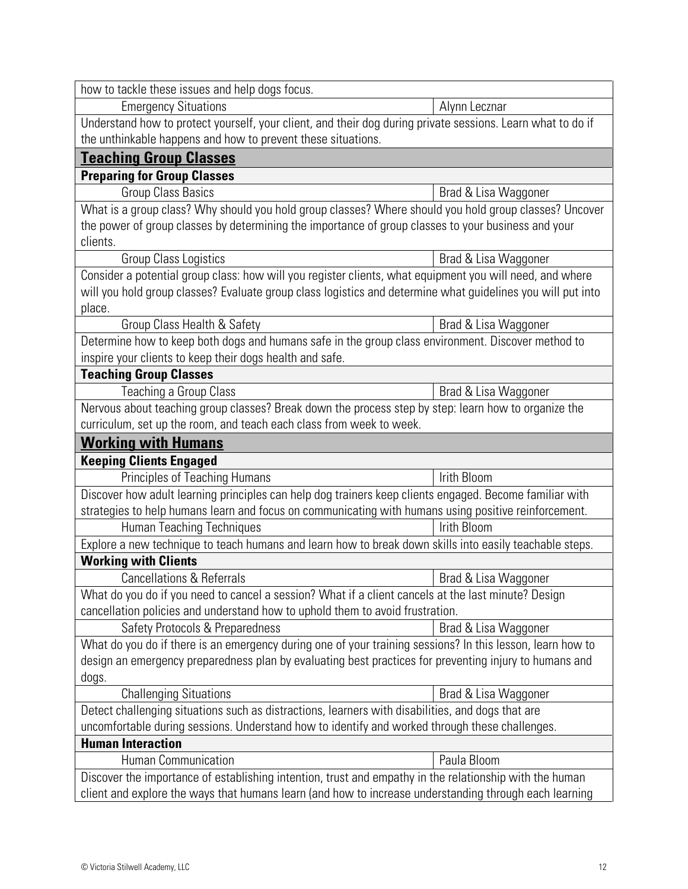| how to tackle these issues and help dogs focus.                                                             |                      |  |
|-------------------------------------------------------------------------------------------------------------|----------------------|--|
| <b>Emergency Situations</b>                                                                                 | Alynn Lecznar        |  |
| Understand how to protect yourself, your client, and their dog during private sessions. Learn what to do if |                      |  |
| the unthinkable happens and how to prevent these situations.                                                |                      |  |
| <b>Teaching Group Classes</b>                                                                               |                      |  |
| <b>Preparing for Group Classes</b>                                                                          |                      |  |
| <b>Group Class Basics</b>                                                                                   | Brad & Lisa Waggoner |  |
| What is a group class? Why should you hold group classes? Where should you hold group classes? Uncover      |                      |  |
| the power of group classes by determining the importance of group classes to your business and your         |                      |  |
| clients.                                                                                                    |                      |  |
| <b>Group Class Logistics</b>                                                                                | Brad & Lisa Waggoner |  |
| Consider a potential group class: how will you register clients, what equipment you will need, and where    |                      |  |
| will you hold group classes? Evaluate group class logistics and determine what guidelines you will put into |                      |  |
| place.                                                                                                      |                      |  |
| Group Class Health & Safety                                                                                 | Brad & Lisa Waggoner |  |
| Determine how to keep both dogs and humans safe in the group class environment. Discover method to          |                      |  |
| inspire your clients to keep their dogs health and safe.                                                    |                      |  |
| <b>Teaching Group Classes</b>                                                                               |                      |  |
| Teaching a Group Class                                                                                      | Brad & Lisa Waggoner |  |
| Nervous about teaching group classes? Break down the process step by step: learn how to organize the        |                      |  |
| curriculum, set up the room, and teach each class from week to week.                                        |                      |  |
| <b>Working with Humans</b>                                                                                  |                      |  |
| <b>Keeping Clients Engaged</b>                                                                              |                      |  |
| Principles of Teaching Humans                                                                               | Irith Bloom          |  |
| Discover how adult learning principles can help dog trainers keep clients engaged. Become familiar with     |                      |  |
| strategies to help humans learn and focus on communicating with humans using positive reinforcement.        |                      |  |
| <b>Human Teaching Techniques</b>                                                                            | Irith Bloom          |  |
| Explore a new technique to teach humans and learn how to break down skills into easily teachable steps.     |                      |  |
| <b>Working with Clients</b>                                                                                 |                      |  |
| <b>Cancellations &amp; Referrals</b>                                                                        | Brad & Lisa Waggoner |  |
| What do you do if you need to cancel a session? What if a client cancels at the last minute? Design         |                      |  |
| cancellation policies and understand how to uphold them to avoid frustration.                               |                      |  |
| Safety Protocols & Preparedness                                                                             | Brad & Lisa Waggoner |  |
| What do you do if there is an emergency during one of your training sessions? In this lesson, learn how to  |                      |  |
| design an emergency preparedness plan by evaluating best practices for preventing injury to humans and      |                      |  |
| dogs.                                                                                                       |                      |  |
| <b>Challenging Situations</b>                                                                               | Brad & Lisa Waggoner |  |
| Detect challenging situations such as distractions, learners with disabilities, and dogs that are           |                      |  |
| uncomfortable during sessions. Understand how to identify and worked through these challenges.              |                      |  |
| <b>Human Interaction</b>                                                                                    |                      |  |
| Human Communication                                                                                         | Paula Bloom          |  |
| Discover the importance of establishing intention, trust and empathy in the relationship with the human     |                      |  |
| client and explore the ways that humans learn (and how to increase understanding through each learning      |                      |  |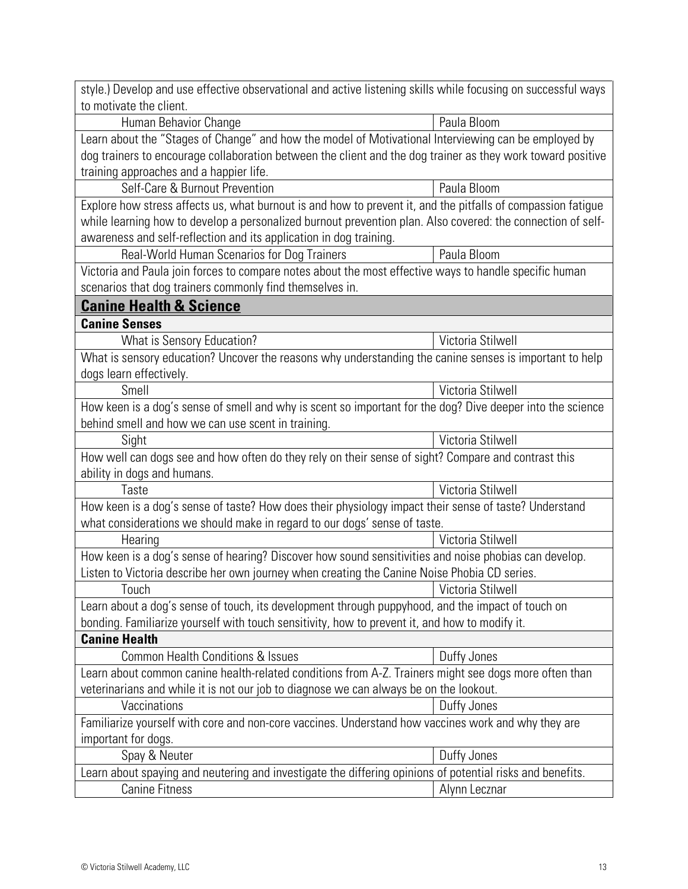| style.) Develop and use effective observational and active listening skills while focusing on successful ways |                   |  |
|---------------------------------------------------------------------------------------------------------------|-------------------|--|
| to motivate the client.                                                                                       |                   |  |
| Human Behavior Change                                                                                         | Paula Bloom       |  |
| Learn about the "Stages of Change" and how the model of Motivational Interviewing can be employed by          |                   |  |
| dog trainers to encourage collaboration between the client and the dog trainer as they work toward positive   |                   |  |
| training approaches and a happier life.                                                                       |                   |  |
| Self-Care & Burnout Prevention                                                                                | Paula Bloom       |  |
| Explore how stress affects us, what burnout is and how to prevent it, and the pitfalls of compassion fatigue  |                   |  |
| while learning how to develop a personalized burnout prevention plan. Also covered: the connection of self-   |                   |  |
| awareness and self-reflection and its application in dog training.                                            |                   |  |
| Real-World Human Scenarios for Dog Trainers                                                                   | Paula Bloom       |  |
| Victoria and Paula join forces to compare notes about the most effective ways to handle specific human        |                   |  |
| scenarios that dog trainers commonly find themselves in.                                                      |                   |  |
| <b>Canine Health &amp; Science</b>                                                                            |                   |  |
| <b>Canine Senses</b>                                                                                          |                   |  |
| What is Sensory Education?                                                                                    | Victoria Stilwell |  |
| What is sensory education? Uncover the reasons why understanding the canine senses is important to help       |                   |  |
| dogs learn effectively.                                                                                       |                   |  |
| Smell                                                                                                         | Victoria Stilwell |  |
| How keen is a dog's sense of smell and why is scent so important for the dog? Dive deeper into the science    |                   |  |
| behind smell and how we can use scent in training.                                                            |                   |  |
| Sight                                                                                                         | Victoria Stilwell |  |
| How well can dogs see and how often do they rely on their sense of sight? Compare and contrast this           |                   |  |
| ability in dogs and humans.                                                                                   |                   |  |
| Taste                                                                                                         | Victoria Stilwell |  |
| How keen is a dog's sense of taste? How does their physiology impact their sense of taste? Understand         |                   |  |
| what considerations we should make in regard to our dogs' sense of taste.                                     |                   |  |
| Hearing                                                                                                       | Victoria Stilwell |  |
| How keen is a dog's sense of hearing? Discover how sound sensitivities and noise phobias can develop.         |                   |  |
| Listen to Victoria describe her own journey when creating the Canine Noise Phobia CD series.                  |                   |  |
| Touch                                                                                                         | Victoria Stilwell |  |
| Learn about a dog's sense of touch, its development through puppyhood, and the impact of touch on             |                   |  |
| bonding. Familiarize yourself with touch sensitivity, how to prevent it, and how to modify it.                |                   |  |
| <b>Canine Health</b>                                                                                          |                   |  |
| Common Health Conditions & Issues                                                                             | Duffy Jones       |  |
| Learn about common canine health-related conditions from A-Z. Trainers might see dogs more often than         |                   |  |
| veterinarians and while it is not our job to diagnose we can always be on the lookout.                        |                   |  |
| Vaccinations                                                                                                  | Duffy Jones       |  |
| Familiarize yourself with core and non-core vaccines. Understand how vaccines work and why they are           |                   |  |
| important for dogs.                                                                                           |                   |  |
| Spay & Neuter                                                                                                 | Duffy Jones       |  |
| Learn about spaying and neutering and investigate the differing opinions of potential risks and benefits.     |                   |  |
| <b>Canine Fitness</b>                                                                                         | Alynn Lecznar     |  |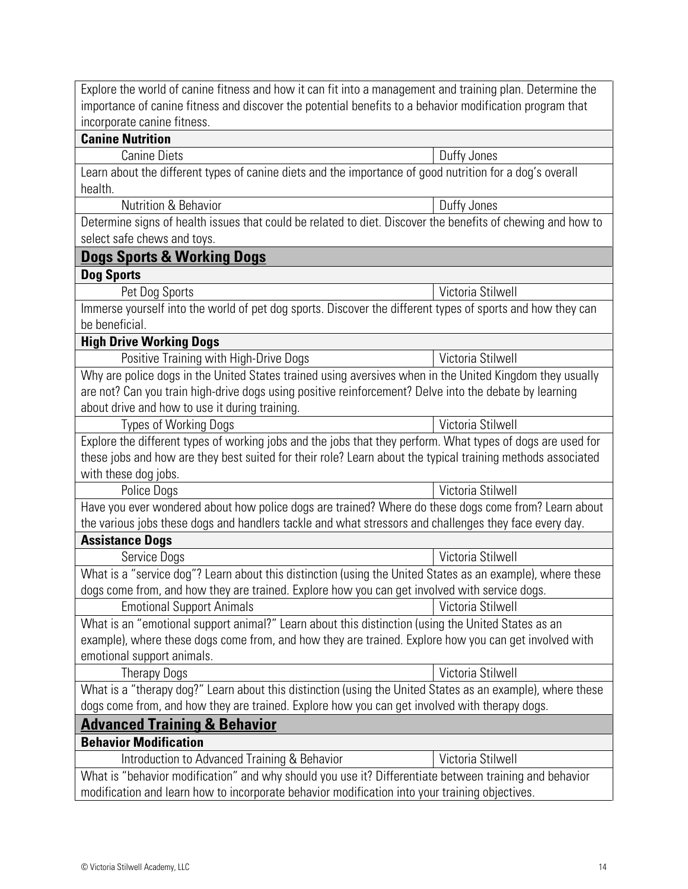| Explore the world of canine fitness and how it can fit into a management and training plan. Determine the                           |                   |  |
|-------------------------------------------------------------------------------------------------------------------------------------|-------------------|--|
| importance of canine fitness and discover the potential benefits to a behavior modification program that                            |                   |  |
| incorporate canine fitness.                                                                                                         |                   |  |
| <b>Canine Nutrition</b><br><b>Canine Diets</b>                                                                                      | Duffy Jones       |  |
|                                                                                                                                     |                   |  |
| Learn about the different types of canine diets and the importance of good nutrition for a dog's overall<br>health.                 |                   |  |
| Nutrition & Behavior                                                                                                                | Duffy Jones       |  |
| Determine signs of health issues that could be related to diet. Discover the benefits of chewing and how to                         |                   |  |
| select safe chews and toys.                                                                                                         |                   |  |
| <b>Dogs Sports &amp; Working Dogs</b>                                                                                               |                   |  |
| <b>Dog Sports</b>                                                                                                                   |                   |  |
| Pet Dog Sports                                                                                                                      | Victoria Stilwell |  |
| Immerse yourself into the world of pet dog sports. Discover the different types of sports and how they can<br>be beneficial.        |                   |  |
| <b>High Drive Working Dogs</b>                                                                                                      |                   |  |
| Positive Training with High-Drive Dogs                                                                                              | Victoria Stilwell |  |
| Why are police dogs in the United States trained using aversives when in the United Kingdom they usually                            |                   |  |
| are not? Can you train high-drive dogs using positive reinforcement? Delve into the debate by learning                              |                   |  |
| about drive and how to use it during training.                                                                                      |                   |  |
| <b>Types of Working Dogs</b>                                                                                                        | Victoria Stilwell |  |
| Explore the different types of working jobs and the jobs that they perform. What types of dogs are used for                         |                   |  |
| these jobs and how are they best suited for their role? Learn about the typical training methods associated<br>with these dog jobs. |                   |  |
| Police Dogs                                                                                                                         | Victoria Stilwell |  |
| Have you ever wondered about how police dogs are trained? Where do these dogs come from? Learn about                                |                   |  |
| the various jobs these dogs and handlers tackle and what stressors and challenges they face every day.                              |                   |  |
| <b>Assistance Dogs</b>                                                                                                              |                   |  |
| Service Dogs                                                                                                                        | Victoria Stilwell |  |
| What is a "service dog"? Learn about this distinction (using the United States as an example), where these                          |                   |  |
| dogs come from, and how they are trained. Explore how you can get involved with service dogs.                                       |                   |  |
| <b>Emotional Support Animals</b>                                                                                                    | Victoria Stilwell |  |
| What is an "emotional support animal?" Learn about this distinction (using the United States as an                                  |                   |  |
| example), where these dogs come from, and how they are trained. Explore how you can get involved with                               |                   |  |
| emotional support animals.                                                                                                          |                   |  |
| <b>Therapy Dogs</b>                                                                                                                 | Victoria Stilwell |  |
| What is a "therapy dog?" Learn about this distinction (using the United States as an example), where these                          |                   |  |
| dogs come from, and how they are trained. Explore how you can get involved with therapy dogs.                                       |                   |  |
| <b>Advanced Training &amp; Behavior</b>                                                                                             |                   |  |
| <b>Behavior Modification</b>                                                                                                        |                   |  |
| Introduction to Advanced Training & Behavior                                                                                        | Victoria Stilwell |  |
| What is "behavior modification" and why should you use it? Differentiate between training and behavior                              |                   |  |
| modification and learn how to incorporate behavior modification into your training objectives.                                      |                   |  |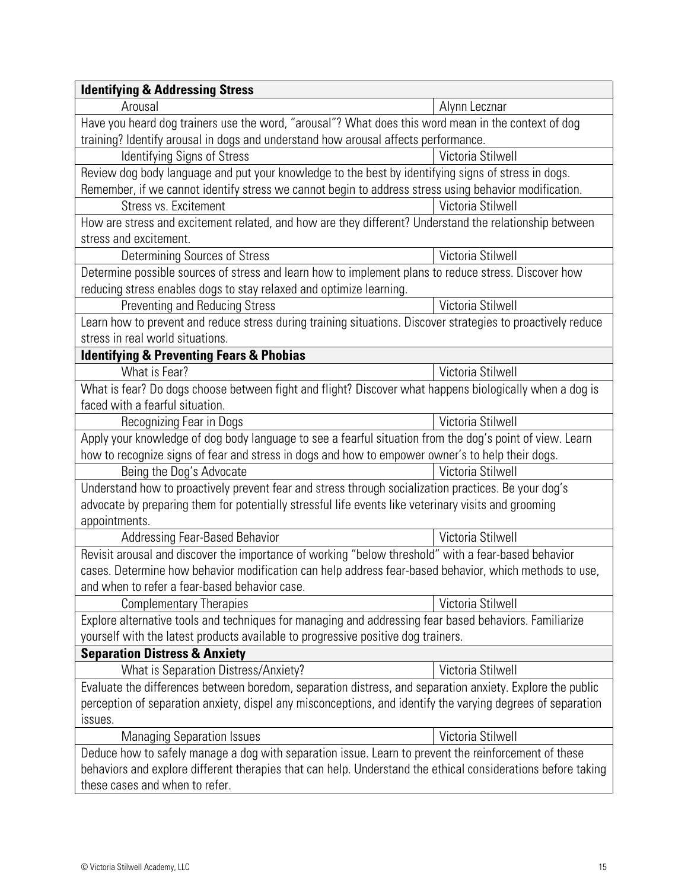| <b>Identifying &amp; Addressing Stress</b>                                                                   |                   |  |
|--------------------------------------------------------------------------------------------------------------|-------------------|--|
| Arousal                                                                                                      | Alynn Lecznar     |  |
| Have you heard dog trainers use the word, "arousal"? What does this word mean in the context of dog          |                   |  |
| training? Identify arousal in dogs and understand how arousal affects performance.                           |                   |  |
| <b>Identifying Signs of Stress</b>                                                                           | Victoria Stilwell |  |
| Review dog body language and put your knowledge to the best by identifying signs of stress in dogs.          |                   |  |
| Remember, if we cannot identify stress we cannot begin to address stress using behavior modification.        |                   |  |
| Stress vs. Excitement                                                                                        | Victoria Stilwell |  |
| How are stress and excitement related, and how are they different? Understand the relationship between       |                   |  |
| stress and excitement.                                                                                       |                   |  |
| <b>Determining Sources of Stress</b>                                                                         | Victoria Stilwell |  |
| Determine possible sources of stress and learn how to implement plans to reduce stress. Discover how         |                   |  |
| reducing stress enables dogs to stay relaxed and optimize learning.                                          |                   |  |
| <b>Preventing and Reducing Stress</b>                                                                        | Victoria Stilwell |  |
| Learn how to prevent and reduce stress during training situations. Discover strategies to proactively reduce |                   |  |
| stress in real world situations.                                                                             |                   |  |
| <b>Identifying &amp; Preventing Fears &amp; Phobias</b>                                                      |                   |  |
| What is Fear?                                                                                                | Victoria Stilwell |  |
| What is fear? Do dogs choose between fight and flight? Discover what happens biologically when a dog is      |                   |  |
| faced with a fearful situation.                                                                              |                   |  |
| Recognizing Fear in Dogs                                                                                     | Victoria Stilwell |  |
| Apply your knowledge of dog body language to see a fearful situation from the dog's point of view. Learn     |                   |  |
| how to recognize signs of fear and stress in dogs and how to empower owner's to help their dogs.             |                   |  |
| Being the Dog's Advocate                                                                                     | Victoria Stilwell |  |
| Understand how to proactively prevent fear and stress through socialization practices. Be your dog's         |                   |  |
| advocate by preparing them for potentially stressful life events like veterinary visits and grooming         |                   |  |
| appointments.                                                                                                |                   |  |
| Addressing Fear-Based Behavior                                                                               | Victoria Stilwell |  |
| Revisit arousal and discover the importance of working "below threshold" with a fear-based behavior          |                   |  |
| cases. Determine how behavior modification can help address fear-based behavior, which methods to use,       |                   |  |
| and when to refer a fear-based behavior case.                                                                |                   |  |
| <b>Complementary Therapies</b>                                                                               | Victoria Stilwell |  |
| Explore alternative tools and techniques for managing and addressing fear based behaviors. Familiarize       |                   |  |
| yourself with the latest products available to progressive positive dog trainers.                            |                   |  |
| <b>Separation Distress &amp; Anxiety</b>                                                                     |                   |  |
| What is Separation Distress/Anxiety?                                                                         | Victoria Stilwell |  |
| Evaluate the differences between boredom, separation distress, and separation anxiety. Explore the public    |                   |  |
| perception of separation anxiety, dispel any misconceptions, and identify the varying degrees of separation  |                   |  |
| issues.                                                                                                      |                   |  |
| <b>Managing Separation Issues</b>                                                                            | Victoria Stilwell |  |
| Deduce how to safely manage a dog with separation issue. Learn to prevent the reinforcement of these         |                   |  |
| behaviors and explore different therapies that can help. Understand the ethical considerations before taking |                   |  |
| these cases and when to refer.                                                                               |                   |  |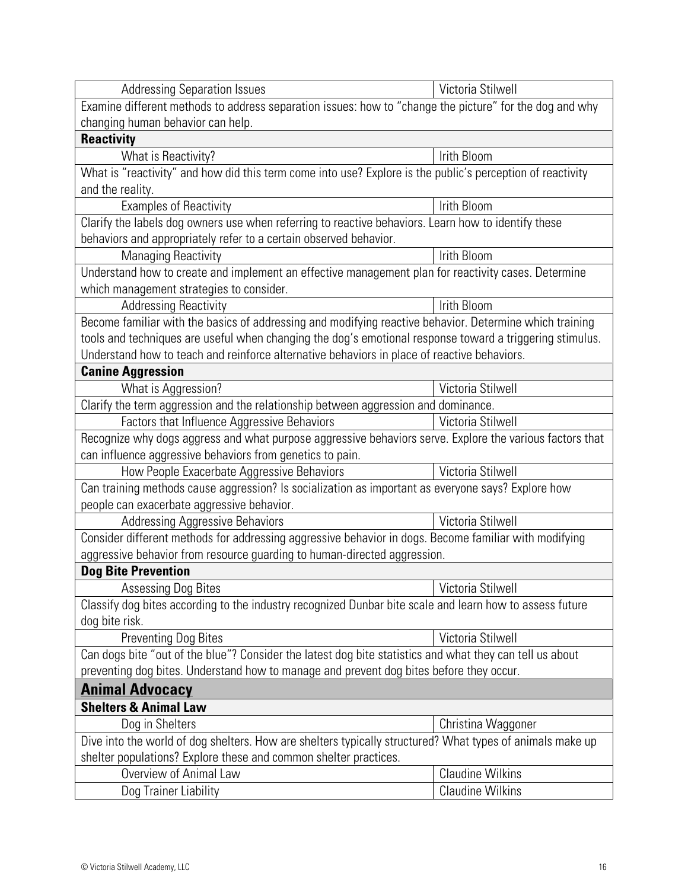| <b>Addressing Separation Issues</b>                                                                        | Victoria Stilwell       |  |
|------------------------------------------------------------------------------------------------------------|-------------------------|--|
| Examine different methods to address separation issues: how to "change the picture" for the dog and why    |                         |  |
| changing human behavior can help.                                                                          |                         |  |
| <b>Reactivity</b>                                                                                          |                         |  |
| What is Reactivity?                                                                                        | Irith Bloom             |  |
| What is "reactivity" and how did this term come into use? Explore is the public's perception of reactivity |                         |  |
| and the reality.                                                                                           |                         |  |
| <b>Examples of Reactivity</b>                                                                              | Irith Bloom             |  |
| Clarify the labels dog owners use when referring to reactive behaviors. Learn how to identify these        |                         |  |
| behaviors and appropriately refer to a certain observed behavior.                                          |                         |  |
| <b>Managing Reactivity</b>                                                                                 | Irith Bloom             |  |
| Understand how to create and implement an effective management plan for reactivity cases. Determine        |                         |  |
| which management strategies to consider.                                                                   |                         |  |
| <b>Addressing Reactivity</b>                                                                               | Irith Bloom             |  |
| Become familiar with the basics of addressing and modifying reactive behavior. Determine which training    |                         |  |
| tools and techniques are useful when changing the dog's emotional response toward a triggering stimulus.   |                         |  |
| Understand how to teach and reinforce alternative behaviors in place of reactive behaviors.                |                         |  |
| <b>Canine Aggression</b>                                                                                   |                         |  |
| What is Aggression?                                                                                        | Victoria Stilwell       |  |
| Clarify the term aggression and the relationship between aggression and dominance.                         |                         |  |
| Factors that Influence Aggressive Behaviors                                                                | Victoria Stilwell       |  |
| Recognize why dogs aggress and what purpose aggressive behaviors serve. Explore the various factors that   |                         |  |
| can influence aggressive behaviors from genetics to pain.                                                  |                         |  |
| How People Exacerbate Aggressive Behaviors                                                                 | Victoria Stilwell       |  |
| Can training methods cause aggression? Is socialization as important as everyone says? Explore how         |                         |  |
| people can exacerbate aggressive behavior.                                                                 |                         |  |
| <b>Addressing Aggressive Behaviors</b>                                                                     | Victoria Stilwell       |  |
| Consider different methods for addressing aggressive behavior in dogs. Become familiar with modifying      |                         |  |
| aggressive behavior from resource guarding to human-directed aggression.                                   |                         |  |
| <b>Dog Bite Prevention</b>                                                                                 |                         |  |
| <b>Assessing Dog Bites</b>                                                                                 | Victoria Stilwell       |  |
| Classify dog bites according to the industry recognized Dunbar bite scale and learn how to assess future   |                         |  |
| dog bite risk.                                                                                             |                         |  |
| <b>Preventing Dog Bites</b>                                                                                | Victoria Stilwell       |  |
| Can dogs bite "out of the blue"? Consider the latest dog bite statistics and what they can tell us about   |                         |  |
| preventing dog bites. Understand how to manage and prevent dog bites before they occur.                    |                         |  |
| <b>Animal Advocacy</b>                                                                                     |                         |  |
| <b>Shelters &amp; Animal Law</b>                                                                           |                         |  |
| Dog in Shelters                                                                                            | Christina Waggoner      |  |
| Dive into the world of dog shelters. How are shelters typically structured? What types of animals make up  |                         |  |
| shelter populations? Explore these and common shelter practices.                                           |                         |  |
| Overview of Animal Law                                                                                     | <b>Claudine Wilkins</b> |  |
| Dog Trainer Liability                                                                                      | <b>Claudine Wilkins</b> |  |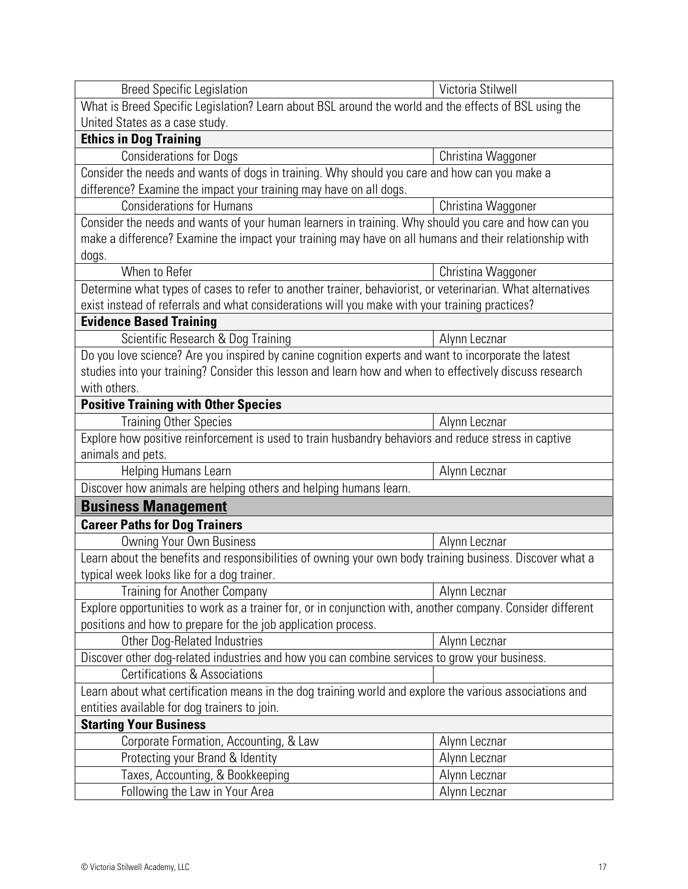| <b>Breed Specific Legislation</b>                                                                           | Victoria Stilwell  |  |
|-------------------------------------------------------------------------------------------------------------|--------------------|--|
| What is Breed Specific Legislation? Learn about BSL around the world and the effects of BSL using the       |                    |  |
| United States as a case study.                                                                              |                    |  |
| <b>Ethics in Dog Training</b>                                                                               |                    |  |
| <b>Considerations for Dogs</b>                                                                              | Christina Waggoner |  |
| Consider the needs and wants of dogs in training. Why should you care and how can you make a                |                    |  |
| difference? Examine the impact your training may have on all dogs.                                          |                    |  |
| <b>Considerations for Humans</b>                                                                            | Christina Waggoner |  |
| Consider the needs and wants of your human learners in training. Why should you care and how can you        |                    |  |
| make a difference? Examine the impact your training may have on all humans and their relationship with      |                    |  |
| dogs.                                                                                                       |                    |  |
| When to Refer                                                                                               | Christina Waggoner |  |
| Determine what types of cases to refer to another trainer, behaviorist, or veterinarian. What alternatives  |                    |  |
| exist instead of referrals and what considerations will you make with your training practices?              |                    |  |
| <b>Evidence Based Training</b>                                                                              |                    |  |
| Scientific Research & Dog Training                                                                          | Alynn Lecznar      |  |
| Do you love science? Are you inspired by canine cognition experts and want to incorporate the latest        |                    |  |
| studies into your training? Consider this lesson and learn how and when to effectively discuss research     |                    |  |
| with others.                                                                                                |                    |  |
| <b>Positive Training with Other Species</b>                                                                 |                    |  |
| <b>Training Other Species</b>                                                                               | Alynn Lecznar      |  |
| Explore how positive reinforcement is used to train husbandry behaviors and reduce stress in captive        |                    |  |
| animals and pets.                                                                                           |                    |  |
| Helping Humans Learn                                                                                        | Alynn Lecznar      |  |
| Discover how animals are helping others and helping humans learn.                                           |                    |  |
| <b>Business Management</b>                                                                                  |                    |  |
| <b>Career Paths for Dog Trainers</b>                                                                        |                    |  |
| <b>Owning Your Own Business</b>                                                                             | Alynn Lecznar      |  |
| Learn about the benefits and responsibilities of owning your own body training business. Discover what a    |                    |  |
| typical week looks like for a dog trainer.                                                                  |                    |  |
| Training for Another Company                                                                                | Alynn Lecznar      |  |
| Explore opportunities to work as a trainer for, or in conjunction with, another company. Consider different |                    |  |
| positions and how to prepare for the job application process.                                               |                    |  |
| <b>Other Dog-Related Industries</b>                                                                         | Alynn Lecznar      |  |
| Discover other dog-related industries and how you can combine services to grow your business.               |                    |  |
| Certifications & Associations                                                                               |                    |  |
| Learn about what certification means in the dog training world and explore the various associations and     |                    |  |
| entities available for dog trainers to join.                                                                |                    |  |
| <b>Starting Your Business</b>                                                                               |                    |  |
| Corporate Formation, Accounting, & Law                                                                      | Alynn Lecznar      |  |
| Protecting your Brand & Identity                                                                            | Alynn Lecznar      |  |
| Taxes, Accounting, & Bookkeeping                                                                            | Alynn Lecznar      |  |
|                                                                                                             |                    |  |
| Following the Law in Your Area                                                                              | Alynn Lecznar      |  |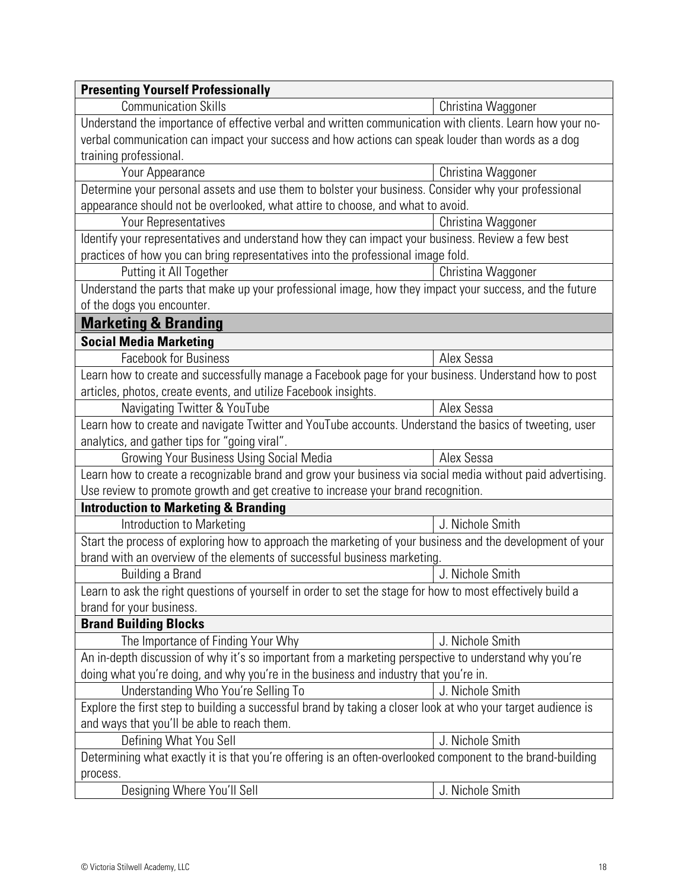| <b>Presenting Yourself Professionally</b>                                                                    |                    |  |
|--------------------------------------------------------------------------------------------------------------|--------------------|--|
| <b>Communication Skills</b>                                                                                  | Christina Waggoner |  |
| Understand the importance of effective verbal and written communication with clients. Learn how your no-     |                    |  |
| verbal communication can impact your success and how actions can speak louder than words as a dog            |                    |  |
| training professional.                                                                                       |                    |  |
| Your Appearance                                                                                              | Christina Waggoner |  |
| Determine your personal assets and use them to bolster your business. Consider why your professional         |                    |  |
| appearance should not be overlooked, what attire to choose, and what to avoid.                               |                    |  |
| Your Representatives                                                                                         | Christina Waggoner |  |
| Identify your representatives and understand how they can impact your business. Review a few best            |                    |  |
| practices of how you can bring representatives into the professional image fold.                             |                    |  |
| Putting it All Together                                                                                      | Christina Waggoner |  |
| Understand the parts that make up your professional image, how they impact your success, and the future      |                    |  |
| of the dogs you encounter.                                                                                   |                    |  |
| <b>Marketing &amp; Branding</b>                                                                              |                    |  |
| <b>Social Media Marketing</b>                                                                                |                    |  |
| <b>Facebook for Business</b>                                                                                 | Alex Sessa         |  |
| Learn how to create and successfully manage a Facebook page for your business. Understand how to post        |                    |  |
| articles, photos, create events, and utilize Facebook insights.                                              |                    |  |
| Navigating Twitter & YouTube                                                                                 | Alex Sessa         |  |
| Learn how to create and navigate Twitter and YouTube accounts. Understand the basics of tweeting, user       |                    |  |
| analytics, and gather tips for "going viral".                                                                |                    |  |
| <b>Growing Your Business Using Social Media</b>                                                              | Alex Sessa         |  |
| Learn how to create a recognizable brand and grow your business via social media without paid advertising.   |                    |  |
| Use review to promote growth and get creative to increase your brand recognition.                            |                    |  |
| <b>Introduction to Marketing &amp; Branding</b>                                                              |                    |  |
| Introduction to Marketing                                                                                    | J. Nichole Smith   |  |
| Start the process of exploring how to approach the marketing of your business and the development of your    |                    |  |
| brand with an overview of the elements of successful business marketing.                                     |                    |  |
| Building a Brand                                                                                             | J. Nichole Smith   |  |
| Learn to ask the right questions of yourself in order to set the stage for how to most effectively build a   |                    |  |
| brand for your business.                                                                                     |                    |  |
| <b>Brand Building Blocks</b>                                                                                 |                    |  |
| The Importance of Finding Your Why                                                                           | J. Nichole Smith   |  |
| An in-depth discussion of why it's so important from a marketing perspective to understand why you're        |                    |  |
| doing what you're doing, and why you're in the business and industry that you're in.                         |                    |  |
| Understanding Who You're Selling To                                                                          | J. Nichole Smith   |  |
| Explore the first step to building a successful brand by taking a closer look at who your target audience is |                    |  |
| and ways that you'll be able to reach them.                                                                  |                    |  |
| Defining What You Sell                                                                                       | J. Nichole Smith   |  |
| Determining what exactly it is that you're offering is an often-overlooked component to the brand-building   |                    |  |
| process.                                                                                                     |                    |  |
| Designing Where You'll Sell                                                                                  | J. Nichole Smith   |  |